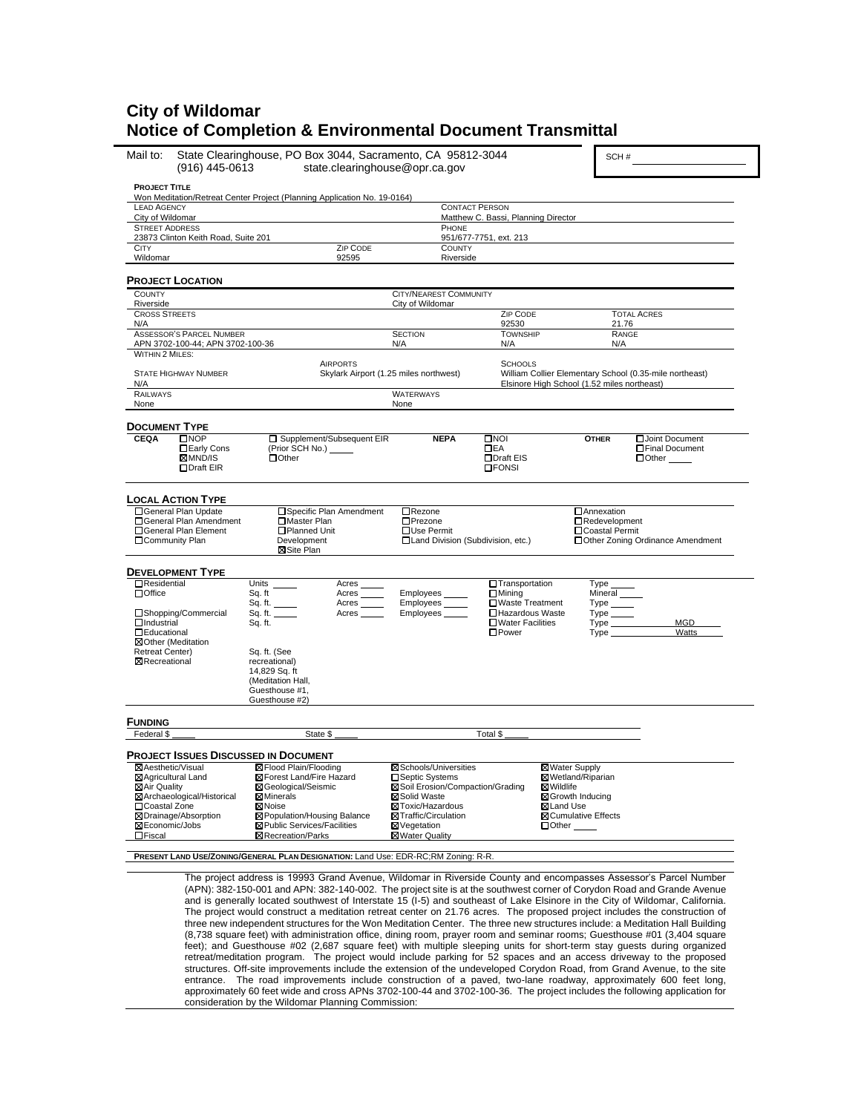# **City of Wildomar Notice of Completion & Environmental Document Transmittal**

| Mail to:<br>(916) 445-0613                                   | State Clearinghouse, PO Box 3044, Sacramento, CA 95812-3044<br>state.clearinghouse@opr.ca.gov |                                                   |                                     | SCH#                                                                                                                  |
|--------------------------------------------------------------|-----------------------------------------------------------------------------------------------|---------------------------------------------------|-------------------------------------|-----------------------------------------------------------------------------------------------------------------------|
| <b>PROJECT TITLE</b>                                         | Won Meditation/Retreat Center Project (Planning Application No. 19-0164)                      |                                                   |                                     |                                                                                                                       |
| <b>LEAD AGENCY</b>                                           |                                                                                               |                                                   | <b>CONTACT PERSON</b>               |                                                                                                                       |
| City of Wildomar                                             |                                                                                               |                                                   | Matthew C. Bassi, Planning Director |                                                                                                                       |
| <b>STREET ADDRESS</b><br>23873 Clinton Keith Road, Suite 201 |                                                                                               | PHONE                                             | 951/677-7751, ext. 213              |                                                                                                                       |
| <b>CITY</b><br>Wildomar                                      | ZIP CODE<br>92595                                                                             | <b>COUNTY</b><br>Riverside                        |                                     |                                                                                                                       |
| <b>PROJECT LOCATION</b>                                      |                                                                                               |                                                   |                                     |                                                                                                                       |
| COUNTY                                                       |                                                                                               | CITY/NEAREST COMMUNITY                            |                                     |                                                                                                                       |
| Riverside<br><b>CROSS STREETS</b>                            |                                                                                               | City of Wildomar                                  | ZIP CODE                            | <b>TOTAL ACRES</b>                                                                                                    |
| N/A                                                          |                                                                                               |                                                   | 92530                               | 21.76                                                                                                                 |
| <b>ASSESSOR'S PARCEL NUMBER</b>                              |                                                                                               | <b>SECTION</b>                                    | <b>TOWNSHIP</b>                     | RANGE                                                                                                                 |
| APN 3702-100-44; APN 3702-100-36                             |                                                                                               | N/A                                               | N/A                                 | N/A                                                                                                                   |
| WITHIN 2 MILES:                                              |                                                                                               |                                                   |                                     |                                                                                                                       |
|                                                              | <b>AIRPORTS</b>                                                                               |                                                   | <b>SCHOOLS</b>                      |                                                                                                                       |
| <b>STATE HIGHWAY NUMBER</b><br>N/A                           |                                                                                               | Skylark Airport (1.25 miles northwest)            |                                     | William Collier Elementary School (0.35-mile northeast)<br>Elsinore High School (1.52 miles northeast)                |
| RAILWAYS                                                     |                                                                                               | <b>WATERWAYS</b>                                  |                                     |                                                                                                                       |
| None                                                         |                                                                                               | None                                              |                                     |                                                                                                                       |
| <b>DOCUMENT TYPE</b>                                         |                                                                                               |                                                   |                                     |                                                                                                                       |
| <b>CEQA</b><br>$\square$ NOP                                 | □ Supplement/Subsequent EIR                                                                   | <b>NEPA</b>                                       | $\square$ NOI                       | Joint Document<br><b>OTHER</b>                                                                                        |
| □Early Cons                                                  | (Prior SCH No.) ______                                                                        |                                                   | $\Box$ EA                           | □Final Document                                                                                                       |
| ⊠MND/IS                                                      | $\Box$ Other                                                                                  |                                                   | □Draft EIS                          | $\Box$ Other                                                                                                          |
| □Draft EIR                                                   |                                                                                               |                                                   | <b>OFONSI</b>                       |                                                                                                                       |
| <b>LOCAL ACTION TYPE</b>                                     |                                                                                               |                                                   |                                     |                                                                                                                       |
| □ General Plan Update<br>□ General Plan Amendment            | □ Specific Plan Amendment<br>□Master Plan                                                     | □Rezone<br>□Prezone                               |                                     | <b>Annexation</b><br>Redevelopment                                                                                    |
| □General Plan Element                                        | □Planned Unit                                                                                 | □Use Permit                                       |                                     | □Coastal Permit                                                                                                       |
| □Community Plan                                              | Development<br>⊠Site Plan                                                                     | □ Land Division (Subdivision, etc.)               |                                     | □ Other Zoning Ordinance Amendment                                                                                    |
|                                                              |                                                                                               |                                                   |                                     |                                                                                                                       |
| <b>DEVELOPMENT TYPE</b><br><b>O</b> Residential              |                                                                                               |                                                   |                                     |                                                                                                                       |
| $\Box$ Office                                                | Units<br>Acres<br>Sq. ft<br>Acres                                                             | Employees_                                        | □Transportation<br>$\Box$ Mining    | Type<br>Mineral                                                                                                       |
|                                                              | Sq. ft.<br>Acres                                                                              | Employees                                         | □Waste Treatment                    | $Type$ <sub>_______</sub>                                                                                             |
| □Shopping/Commercial                                         | Sq. ft.<br>Acres                                                                              | Employees_                                        | □Hazardous Waste                    |                                                                                                                       |
| $\Box$ Industrial                                            | Sq. ft.                                                                                       |                                                   | □Water Facilities                   | <b>MGD</b><br>Type                                                                                                    |
| <b>DEducational</b>                                          |                                                                                               |                                                   | $\square$ Power                     | Watts<br>$Type \_\_$                                                                                                  |
| ⊠Other (Meditation<br>Retreat Center)                        | Sq. ft. (See                                                                                  |                                                   |                                     |                                                                                                                       |
| <b>X</b> Recreational                                        | recreational)                                                                                 |                                                   |                                     |                                                                                                                       |
|                                                              | 14,829 Sq. ft                                                                                 |                                                   |                                     |                                                                                                                       |
|                                                              | (Meditation Hall,                                                                             |                                                   |                                     |                                                                                                                       |
|                                                              | Guesthouse #1,                                                                                |                                                   |                                     |                                                                                                                       |
|                                                              | Guesthouse #2)                                                                                |                                                   |                                     |                                                                                                                       |
| <b>FUNDING</b><br>Federal \$                                 | State \$                                                                                      |                                                   | Total \$                            |                                                                                                                       |
|                                                              |                                                                                               |                                                   |                                     |                                                                                                                       |
| <b>PROJECT ISSUES DISCUSSED IN DOCUMENT</b>                  |                                                                                               |                                                   |                                     |                                                                                                                       |
| ⊠Aesthetic/Visual                                            | <b>⊠Flood Plain/Flooding</b>                                                                  | <b>X</b> Schools/Universities                     |                                     | ⊠Water Supply                                                                                                         |
| ⊠ Agricultural Land                                          | ⊠Forest Land/Fire Hazard<br>□Septic Systems                                                   |                                                   |                                     | ⊠Wetland/Riparian                                                                                                     |
| ⊠Air Quality<br>⊠ Archaeological/Historical                  | ⊠ Geological/Seismic<br><b>⊠Minerals</b>                                                      | ⊠ Soil Erosion/Compaction/Grading<br>⊠Solid Waste |                                     | ⊠Wildlife<br>⊠Growth Inducing                                                                                         |
| □Coastal Zone                                                | <b>X</b> Noise                                                                                | ⊠Toxic/Hazardous                                  |                                     | ⊠Land Use                                                                                                             |
| ⊠Drainage/Absorption                                         | ⊠ Population/Housing Balance                                                                  | <b>⊠Traffic/Circulation</b>                       |                                     | <b>⊠Cumulative Effects</b>                                                                                            |
| ⊠Economic/Jobs                                               | ⊠ Public Services/Facilities                                                                  | ⊠Vegetation                                       |                                     | $\Box$ Other                                                                                                          |
| $\Box$ Fiscal                                                | <b>X</b> Recreation/Parks                                                                     | ⊠Water Quality                                    |                                     |                                                                                                                       |
|                                                              | PRESENT LAND USE/ZONING/GENERAL PLAN DESIGNATION: Land Use: EDR-RC:RM Zoning: R-R.            |                                                   |                                     |                                                                                                                       |
|                                                              |                                                                                               |                                                   |                                     |                                                                                                                       |
|                                                              |                                                                                               |                                                   |                                     | The project address is 19993 Grand Avenue, Wildomar in Riverside County and encompasses Assessor's Parcel Number      |
|                                                              |                                                                                               |                                                   |                                     | (ADN): 282 150,001 and ADN: 282 140,002. The project aito is at the southwest corner of Canden Bood and Crande Avenue |

(APN): 382-150-001 and APN: 382-140-002. The project site is at the southwest corner of Corydon Road and is generally located southwest of Interstate 15 (I-5) and southeast of Lake Elsinore in the City of Wildomar, California. The project would construct a meditation retreat center on 21.76 acres. The proposed project includes the construction of three new independent structures for the Won Meditation Center. The three new structures include: a Meditation Hall Building (8,738 square feet) with administration office, dining room, prayer room and seminar rooms; Guesthouse #01 (3,404 square feet); and Guesthouse #02 (2,687 square feet) with multiple sleeping units for short-term stay guests during organized<br>retreat/meditation program. The project would include parking for 52 spaces and an access driveway to t structures. Off-site improvements include the extension of the undeveloped Corydon Road, from Grand Avenue, to the site entrance. The road improvements include construction of a paved, two-lane roadway, approximately 600 feet long, approximately 60 feet wide and cross APNs 3702-100-44 and 3702-100-36. The project includes the following application for consideration by the Wildomar Planning Commission: